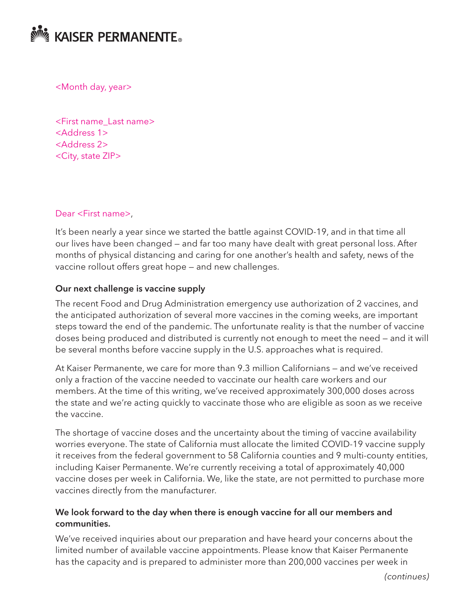

<Month day, year>

<First name\_Last name> <Address 1> <Address 2> <City, state ZIP>

#### Dear <First name>,

It's been nearly a year since we started the battle against COVID-19, and in that time all our lives have been changed — and far too many have dealt with great personal loss. After months of physical distancing and caring for one another's health and safety, news of the vaccine rollout offers great hope — and new challenges.

#### Our next challenge is vaccine supply

The recent Food and Drug Administration emergency use authorization of 2 vaccines, and the anticipated authorization of several more vaccines in the coming weeks, are important steps toward the end of the pandemic. The unfortunate reality is that the number of vaccine doses being produced and distributed is currently not enough to meet the need — and it will be several months before vaccine supply in the U.S. approaches what is required.

At Kaiser Permanente, we care for more than 9.3 million Californians — and we've received only a fraction of the vaccine needed to vaccinate our health care workers and our members. At the time of this writing, we've received approximately 300,000 doses across the state and we're acting quickly to vaccinate those who are eligible as soon as we receive the vaccine.

The shortage of vaccine doses and the uncertainty about the timing of vaccine availability worries everyone. The state of California must allocate the limited COVID-19 vaccine supply it receives from the federal government to 58 California counties and 9 multi-county entities, including Kaiser Permanente. We're currently receiving a total of approximately 40,000 vaccine doses per week in California. We, like the state, are not permitted to purchase more vaccines directly from the manufacturer.

## We look forward to the day when there is enough vaccine for all our members and communities.

We've received inquiries about our preparation and have heard your concerns about the limited number of available vaccine appointments. Please know that Kaiser Permanente has the capacity and is prepared to administer more than 200,000 vaccines per week in

*(continues)*